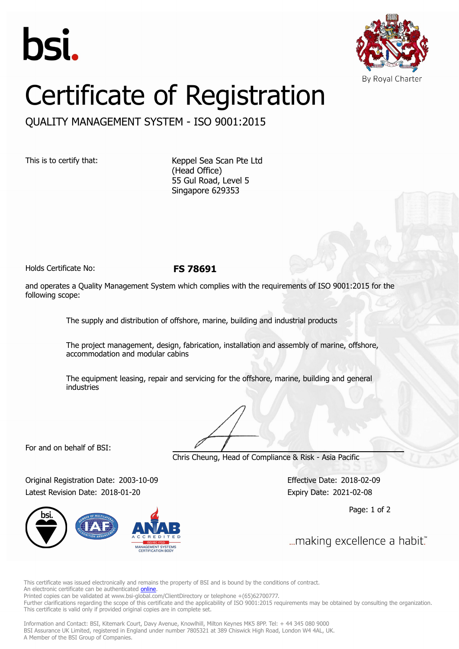



## Certificate of Registration

QUALITY MANAGEMENT SYSTEM - ISO 9001:2015

This is to certify that: Keppel Sea Scan Pte Ltd (Head Office) 55 Gul Road, Level 5 Singapore 629353

Holds Certificate No: **FS 78691**

and operates a Quality Management System which complies with the requirements of ISO 9001:2015 for the following scope:

The supply and distribution of offshore, marine, building and industrial products

The project management, design, fabrication, installation and assembly of marine, offshore, accommodation and modular cabins

The equipment leasing, repair and servicing for the offshore, marine, building and general industries

For and on behalf of BSI:

Chris Cheung, Head of Compliance & Risk - Asia Pacific

Original Registration Date: 2003-10-09 Effective Date: 2018-02-09 Latest Revision Date: 2018-01-20 Expiry Date: 2021-02-08



Page: 1 of 2

... making excellence a habit."

This certificate was issued electronically and remains the property of BSI and is bound by the conditions of contract. An electronic certificate can be authenticated **[online](https://pgplus.bsigroup.com/CertificateValidation/CertificateValidator.aspx?CertificateNumber=FS+78691&ReIssueDate=20%2f01%2f2018&Template=sing_en)** 

Printed copies can be validated at www.bsi-global.com/ClientDirectory or telephone +(65)62700777.

Further clarifications regarding the scope of this certificate and the applicability of ISO 9001:2015 requirements may be obtained by consulting the organization. This certificate is valid only if provided original copies are in complete set.

Information and Contact: BSI, Kitemark Court, Davy Avenue, Knowlhill, Milton Keynes MK5 8PP. Tel: + 44 345 080 9000 BSI Assurance UK Limited, registered in England under number 7805321 at 389 Chiswick High Road, London W4 4AL, UK. A Member of the BSI Group of Companies.